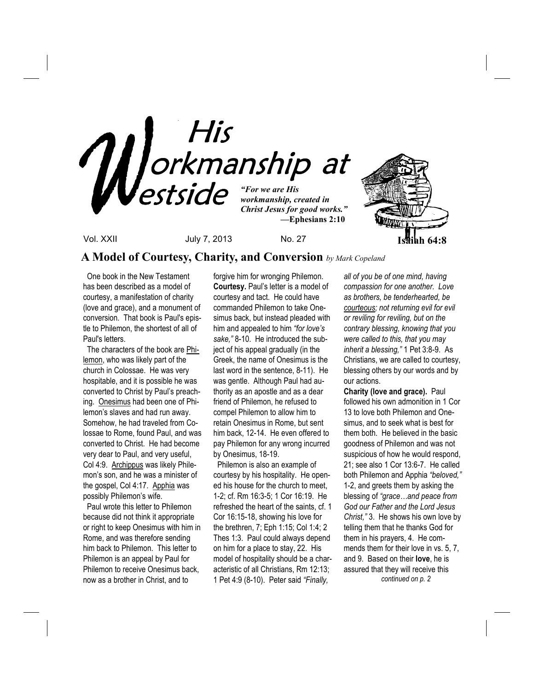

**A Model of Courtesy, Charity, and Conversion** *by Mark Copeland*

One book in the New Testament has been described as a model of courtesy, a manifestation of charity (love and grace), and a monument of conversion. That book is Paul's epistle to Philemon, the shortest of all of Paul's letters.

 The characters of the book are Philemon, who was likely part of the church in Colossae. He was very hospitable, and it is possible he was converted to Christ by Paul's preaching. Onesimus had been one of Philemon's slaves and had run away. Somehow, he had traveled from Colossae to Rome, found Paul, and was converted to Christ. He had become very dear to Paul, and very useful, Col 4:9. Archippus was likely Philemon's son, and he was a minister of the gospel, Col 4:17. Apphia was possibly Philemon's wife.

 Paul wrote this letter to Philemon because did not think it appropriate or right to keep Onesimus with him in Rome, and was therefore sending him back to Philemon. This letter to Philemon is an appeal by Paul for Philemon to receive Onesimus back, now as a brother in Christ, and to

forgive him for wronging Philemon. **Courtesy.** Paul's letter is a model of courtesy and tact. He could have commanded Philemon to take Onesimus back, but instead pleaded with him and appealed to him *"for love's sake,"* 8-10. He introduced the subject of his appeal gradually (in the Greek, the name of Onesimus is the last word in the sentence, 8-11). He was gentle. Although Paul had authority as an apostle and as a dear friend of Philemon, he refused to compel Philemon to allow him to retain Onesimus in Rome, but sent him back, 12-14. He even offered to pay Philemon for any wrong incurred by Onesimus, 18-19.

 Philemon is also an example of courtesy by his hospitality. He opened his house for the church to meet, 1-2; cf. Rm 16:3-5; 1 Cor 16:19. He refreshed the heart of the saints, cf. 1 Cor 16:15-18, showing his love for the brethren, 7; Eph 1:15; Col 1:4; 2 Thes 1:3. Paul could always depend on him for a place to stay, 22. His model of hospitality should be a characteristic of all Christians, Rm 12:13; 1 Pet 4:9 (8-10). Peter said *"Finally,* 

*all of you be of one mind, having compassion for one another. Love as brothers, be tenderhearted, be courteous; not returning evil for evil or reviling for reviling, but on the contrary blessing, knowing that you were called to this, that you may inherit a blessing,"* 1 Pet 3:8-9. As Christians, we are called to courtesy, blessing others by our words and by our actions.

**Charity (love and grace).** Paul followed his own admonition in 1 Cor 13 to love both Philemon and Onesimus, and to seek what is best for them both. He believed in the basic goodness of Philemon and was not suspicious of how he would respond, 21; see also 1 Cor 13:6-7. He called both Philemon and Apphia *"beloved,"* 1-2, and greets them by asking the blessing of *"grace…and peace from God our Father and the Lord Jesus Christ,"* 3. He shows his own love by telling them that he thanks God for them in his prayers, 4. He commends them for their love in vs. 5, 7, and 9. Based on their **love**, he is assured that they will receive this  *continued on p. 2*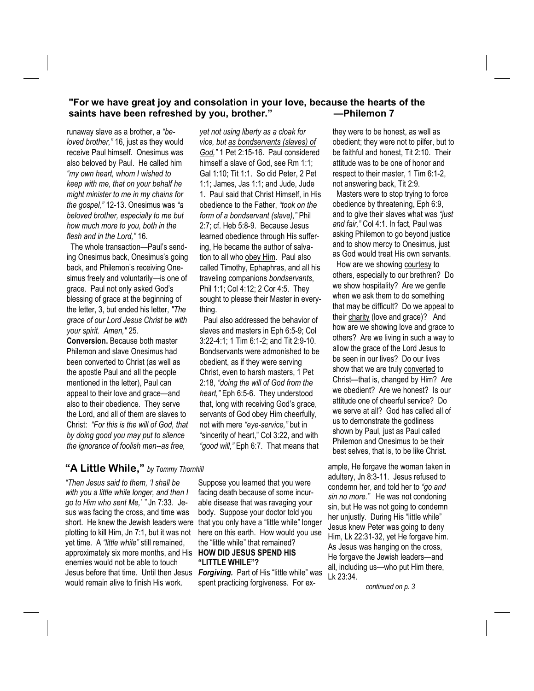### **"For we have great joy and consolation in your love, because the hearts of the saints have been refreshed by you, brother." —Philemon 7**

runaway slave as a brother, a *"beloved brother,"* 16, just as they would receive Paul himself. Onesimus was also beloved by Paul. He called him *"my own heart, whom I wished to keep with me, that on your behalf he might minister to me in my chains for the gospel,"* 12-13. Onesimus was *"a beloved brother, especially to me but how much more to you, both in the flesh and in the Lord,"* 16.

 The whole transaction—Paul's sending Onesimus back, Onesimus's going back, and Philemon's receiving Onesimus freely and voluntarily—is one of grace. Paul not only asked God's blessing of grace at the beginning of the letter, 3, but ended his letter, *"The grace of our Lord Jesus Christ be with your spirit. Amen,"* 25.

**Conversion.** Because both master Philemon and slave Onesimus had been converted to Christ (as well as the apostle Paul and all the people mentioned in the letter), Paul can appeal to their love and grace—and also to their obedience. They serve the Lord, and all of them are slaves to Christ: *"For this is the will of God, that by doing good you may put to silence the ignorance of foolish men--as free,* 

*yet not using liberty as a cloak for vice, but as bondservants (slaves) of God,"* 1 Pet 2:15-16. Paul considered himself a slave of God, see Rm 1:1; Gal 1:10; Tit 1:1. So did Peter, 2 Pet 1:1; James, Jas 1:1; and Jude, Jude 1. Paul said that Christ Himself, in His obedience to the Father, *"took on the form of a bondservant (slave),"* Phil 2:7; cf. Heb 5:8-9. Because Jesus learned obedience through His suffering, He became the author of salvation to all who obey Him. Paul also called Timothy, Ephaphras, and all his traveling companions *bondservants*, Phil 1:1; Col 4:12; 2 Cor 4:5. They sought to please their Master in everything.

Paul also addressed the behavior of slaves and masters in Eph 6:5-9; Col 3:22-4:1; 1 Tim 6:1-2; and Tit 2:9-10. Bondservants were admonished to be obedient, as if they were serving Christ, even to harsh masters, 1 Pet 2:18, *"doing the will of God from the heart,"* Eph 6:5-6. They understood that, long with receiving God's grace, servants of God obey Him cheerfully, not with mere *"eye-service,"* but in "sincerity of heart," Col 3:22, and with *"good will,"* Eph 6:7. That means that

**"A Little While,"** *by Tommy Thornhill* 

Jesus before that time. Until then Jesus Forgiving. Part of His "little while" was *"Then Jesus said to them, 'I shall be with you a little while longer, and then I go to Him who sent Me,' "* Jn 7:33.Jesus was facing the cross, and time was short. He knew the Jewish leaders were plotting to kill Him, Jn 7:1, but it was not yet time. A *"little while"* still remained, approximately six more months, and His enemies would not be able to touch would remain alive to finish His work.

Suppose you learned that you were facing death because of some incurable disease that was ravaging your body. Suppose your doctor told you that you only have a "little while" longer here on this earth. How would you use the "little while" that remained? **HOW DID JESUS SPEND HIS "LITTLE WHILE"?** 

spent practicing forgiveness. For ex-

they were to be honest, as well as obedient; they were not to pilfer, but to be faithful and honest, Tit 2:10. Their attitude was to be one of honor and respect to their master, 1 Tim 6:1-2, not answering back, Tit 2:9. Masters were to stop trying to force obedience by threatening, Eph 6:9, and to give their slaves what was *"just and fair,"* Col 4:1. In fact, Paul was asking Philemon to go beyond justice and to show mercy to Onesimus, just as God would treat His own servants. How are we showing courtesy to others, especially to our brethren? Do we show hospitality? Are we gentle when we ask them to do something that may be difficult? Do we appeal to their charity (love and grace)? And how are we showing love and grace to others? Are we living in such a way to allow the grace of the Lord Jesus to be seen in our lives? Do our lives show that we are truly converted to Christ—that is, changed by Him? Are we obedient? Are we honest? Is our attitude one of cheerful service? Do we serve at all? God has called all of us to demonstrate the godliness shown by Paul, just as Paul called Philemon and Onesimus to be their best selves, that is, to be like Christ.

ample, He forgave the woman taken in adultery, Jn 8:3-11. Jesus refused to condemn her, and told her to *"go and sin no more."* He was not condoning sin, but He was not going to condemn her unjustly. During His "little while" Jesus knew Peter was going to deny Him, Lk 22:31-32, yet He forgave him. As Jesus was hanging on the cross, He forgave the Jewish leaders—and all, including us—who put Him there, Lk 23:34.

*continued on p. 3*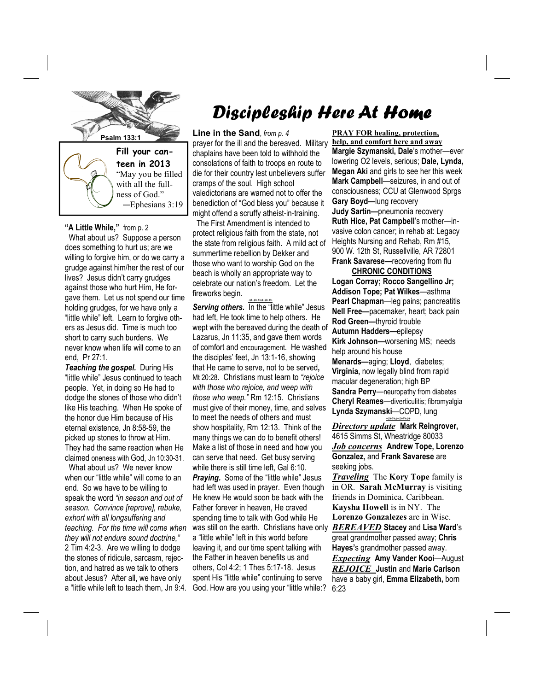

**teen in 2013**  "May you be filled with all the fullness of God." —Ephesians 3:19

#### **"A Little While,"** from p. 2

 What about us? Suppose a person does something to hurt us; are we willing to forgive him, or do we carry a grudge against him/her the rest of our lives? Jesus didn't carry grudges against those who hurt Him, He forgave them. Let us not spend our time holding grudges, for we have only a "little while" left. Learn to forgive others as Jesus did. Time is much too short to carry such burdens. We never know when life will come to an end, Pr 27:1.

*Teaching the gospel.* During His "little while" Jesus continued to teach people. Yet, in doing so He had to dodge the stones of those who didn't like His teaching. When He spoke of the honor due Him because of His eternal existence, Jn 8:58-59, the picked up stones to throw at Him. They had the same reaction when He claimed oneness with God, Jn 10:30-31.

 What about us? We never know when our "little while" will come to an end. So we have to be willing to speak the word *"in season and out of season. Convince [reprove], rebuke, exhort with all longsuffering and teaching. For the time will come when they will not endure sound doctrine,"* 2 Tim 4:2-3. Are we willing to dodge the stones of ridicule, sarcasm, rejection, and hatred as we talk to others about Jesus? After all, we have only a "little while left to teach them, Jn 9:4.

# Discipleship Here At Home

prayer for the ill and the bereaved. Military chaplains have been told to withhold the consolations of faith to troops en route to die for their country lest unbelievers suffer cramps of the soul. High school valedictorians are warned not to offer the benediction of "God bless you" because it might offend a scruffy atheist-in-training.

 The First Amendment is intended to protect religious faith from the state, not the state from religious faith. A mild act of summertime rebellion by Dekker and those who want to worship God on the beach is wholly an appropriate way to celebrate our nation's freedom. Let the fireworks begin.

*+#+#+#+#+#+#+*

Serving others. In the "little while" Jesus had left, He took time to help others. He wept with the bereaved during the death of Lazarus, Jn 11:35, and gave them words of comfort and encouragement. He washed the disciples' feet, Jn 13:1-16, showing that He came to serve, not to be served**,**  Mt 20:28. Christians must learn to *"rejoice with those who rejoice, and weep with those who weep."* Rm 12:15. Christians must give of their money, time, and selves to meet the needs of others and must show hospitality, Rm 12:13. Think of the many things we can do to benefit others! Make a list of those in need and how you can serve that need. Get busy serving while there is still time left, Gal 6:10. **Praying.** Some of the "little while" Jesus had left was used in prayer. Even though He knew He would soon be back with the Father forever in heaven, He craved spending time to talk with God while He was still on the earth. Christians have only a "little while" left in this world before leaving it, and our time spent talking with the Father in heaven benefits us and others, Col 4:2; 1 Thes 5:17-18. Jesus spent His "little while" continuing to serve God. How are you using your "little while:?

**PRAY FOR healing, protection, help, and comfort here and away Margie Szymanski, Dale**'s mother—ever lowering O2 levels, serious; **Dale, Lynda, Megan Aki** and girls to see her this week **Mark Campbell**—seizures, in and out of consciousness; CCU at Glenwood Sprgs **Gary Boyd—**lung recovery **Judy Sartin—**pneumonia recovery **Ruth Hice, Pat Campbell**'s mother—invasive colon cancer; in rehab at: Legacy Heights Nursing and Rehab, Rm #15, 900 W. 12th St, Russellville, AR 72801 **Frank Savarese—**recovering from flu

 **CHRONIC CONDITIONS Logan Corray; Rocco Sangellino Jr; Addison Tope; Pat Wilkes**—asthma **Pearl Chapman**—leg pains; pancreatitis **Nell Free—**pacemaker, heart; back pain **Rod Green—**thyroid trouble **Autumn Hadders—**epilepsy **Kirk Johnson—**worsening MS; needs help around his house **Menards—**aging; **Lloyd**, diabetes; **Virginia,** now legally blind from rapid macular degeneration; high BP **Sandra Perry**—neuropathy from diabetes **Cheryl Reames**—diverticulitis; fibromyalgia **Lynda Szymanski**—COPD, lung

*+#+#+#+#+#+#+ Directory update* **Mark Reingrover,**  4615 Simms St, Wheatridge 80033 *Job concerns* **Andrew Tope, Lorenzo Gonzalez,** and **Frank Savarese** are seeking jobs.

*Traveling* The **Kory Tope** family is in OR. **Sarah McMurray** is visiting friends in Dominica, Caribbean. **Kaysha Howell** is in NY. The **Lorenzo Gonzalezes** are in Wisc. *BEREAVED* **Stacey** and **Lisa Ward**'s great grandmother passed away; **Chris Hayes'**s grandmother passed away. *Expecting* **Amy Vander Kooi**—August *REJOICE* **Justin** and **Marie Carlson**  have a baby girl, **Emma Elizabeth,** born 6:23